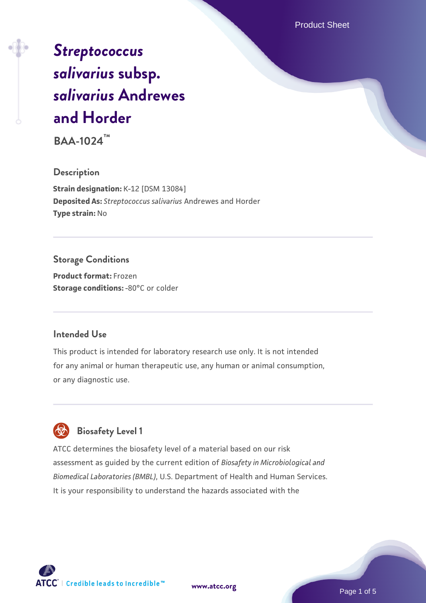Product Sheet

# *[Streptococcus](https://www.atcc.org/products/baa-1024) [salivarius](https://www.atcc.org/products/baa-1024)* **[subsp.](https://www.atcc.org/products/baa-1024)** *[salivarius](https://www.atcc.org/products/baa-1024)* **[Andrewes](https://www.atcc.org/products/baa-1024) [and Horder](https://www.atcc.org/products/baa-1024)**

**BAA-1024™**

#### **Description**

**Strain designation:** K-12 [DSM 13084] **Deposited As:** *Streptococcus salivarius* Andrewes and Horder **Type strain:** No

## **Storage Conditions**

**Product format:** Frozen **Storage conditions: -80°C or colder** 

#### **Intended Use**

This product is intended for laboratory research use only. It is not intended for any animal or human therapeutic use, any human or animal consumption, or any diagnostic use.



## **Biosafety Level 1**

ATCC determines the biosafety level of a material based on our risk assessment as guided by the current edition of *Biosafety in Microbiological and Biomedical Laboratories (BMBL)*, U.S. Department of Health and Human Services. It is your responsibility to understand the hazards associated with the



**[www.atcc.org](http://www.atcc.org)**

Page 1 of 5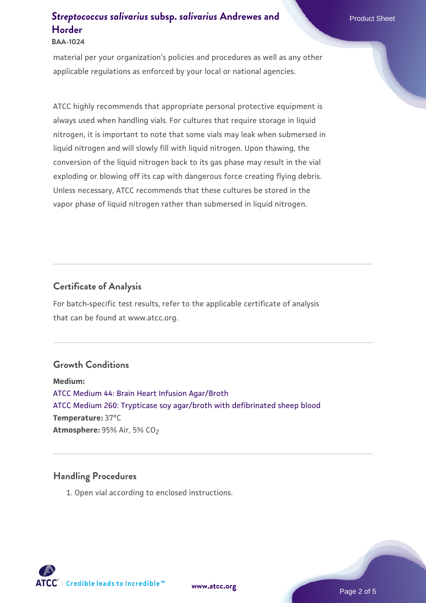#### **BAA-1024**

material per your organization's policies and procedures as well as any other applicable regulations as enforced by your local or national agencies.

ATCC highly recommends that appropriate personal protective equipment is always used when handling vials. For cultures that require storage in liquid nitrogen, it is important to note that some vials may leak when submersed in liquid nitrogen and will slowly fill with liquid nitrogen. Upon thawing, the conversion of the liquid nitrogen back to its gas phase may result in the vial exploding or blowing off its cap with dangerous force creating flying debris. Unless necessary, ATCC recommends that these cultures be stored in the vapor phase of liquid nitrogen rather than submersed in liquid nitrogen.

#### **Certificate of Analysis**

For batch-specific test results, refer to the applicable certificate of analysis that can be found at www.atcc.org.

#### **Growth Conditions**

**Medium:**  [ATCC Medium 44: Brain Heart Infusion Agar/Broth](https://www.atcc.org/-/media/product-assets/documents/microbial-media-formulations/4/4/atcc-medium-44.pdf?rev=ce06ac4e5438493b896cd46c7d875629) [ATCC Medium 260: Trypticase soy agar/broth with defibrinated sheep blood](https://www.atcc.org/-/media/product-assets/documents/microbial-media-formulations/2/6/0/atcc-medium-0260.pdf?rev=5d6614780b1c4acf817a324e2507f087) **Temperature:** 37°C **Atmosphere: 95% Air, 5% CO<sub>2</sub>** 

#### **Handling Procedures**

1. Open vial according to enclosed instructions.

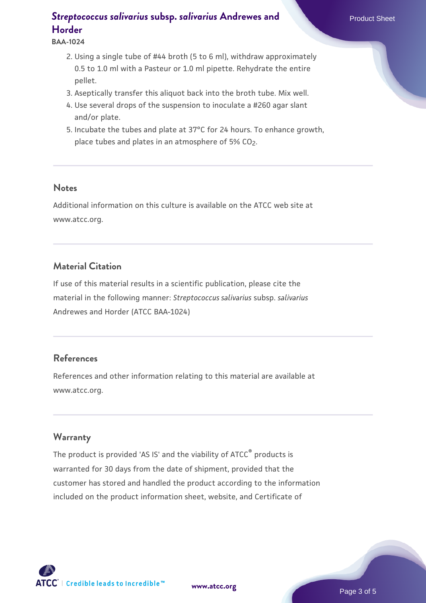**BAA-1024**

- 2. Using a single tube of #44 broth (5 to 6 ml), withdraw approximately 0.5 to 1.0 ml with a Pasteur or 1.0 ml pipette. Rehydrate the entire pellet.
- 3. Aseptically transfer this aliquot back into the broth tube. Mix well.
- 4. Use several drops of the suspension to inoculate a #260 agar slant and/or plate.
- 5. Incubate the tubes and plate at 37°C for 24 hours. To enhance growth, place tubes and plates in an atmosphere of  $5\%$  CO<sub>2</sub>.

#### **Notes**

Additional information on this culture is available on the ATCC web site at www.atcc.org.

### **Material Citation**

If use of this material results in a scientific publication, please cite the material in the following manner: *Streptococcus salivarius* subsp. *salivarius* Andrewes and Horder (ATCC BAA-1024)

### **References**

References and other information relating to this material are available at www.atcc.org.

#### **Warranty**

The product is provided 'AS IS' and the viability of ATCC® products is warranted for 30 days from the date of shipment, provided that the customer has stored and handled the product according to the information included on the product information sheet, website, and Certificate of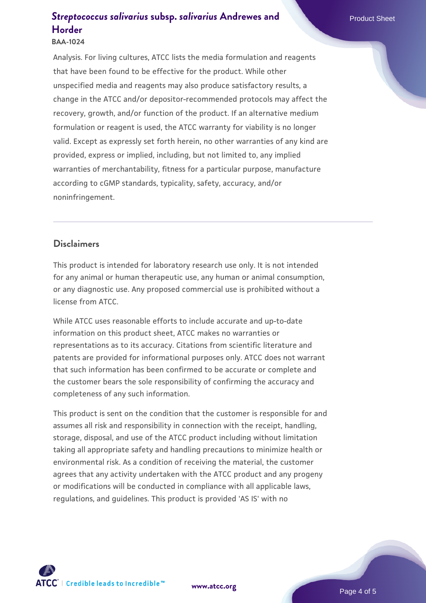#### **BAA-1024**

Analysis. For living cultures, ATCC lists the media formulation and reagents that have been found to be effective for the product. While other unspecified media and reagents may also produce satisfactory results, a change in the ATCC and/or depositor-recommended protocols may affect the recovery, growth, and/or function of the product. If an alternative medium formulation or reagent is used, the ATCC warranty for viability is no longer valid. Except as expressly set forth herein, no other warranties of any kind are provided, express or implied, including, but not limited to, any implied warranties of merchantability, fitness for a particular purpose, manufacture according to cGMP standards, typicality, safety, accuracy, and/or noninfringement.

## **Disclaimers**

This product is intended for laboratory research use only. It is not intended for any animal or human therapeutic use, any human or animal consumption, or any diagnostic use. Any proposed commercial use is prohibited without a license from ATCC.

While ATCC uses reasonable efforts to include accurate and up-to-date information on this product sheet, ATCC makes no warranties or representations as to its accuracy. Citations from scientific literature and patents are provided for informational purposes only. ATCC does not warrant that such information has been confirmed to be accurate or complete and the customer bears the sole responsibility of confirming the accuracy and completeness of any such information.

This product is sent on the condition that the customer is responsible for and assumes all risk and responsibility in connection with the receipt, handling, storage, disposal, and use of the ATCC product including without limitation taking all appropriate safety and handling precautions to minimize health or environmental risk. As a condition of receiving the material, the customer agrees that any activity undertaken with the ATCC product and any progeny or modifications will be conducted in compliance with all applicable laws, regulations, and guidelines. This product is provided 'AS IS' with no